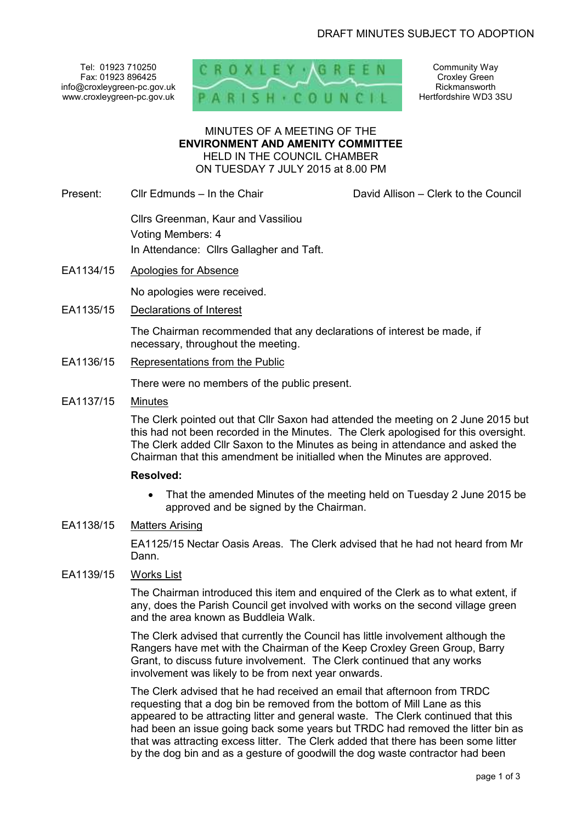Tel: 01923 710250 Fax: 01923 896425 info@croxleygreen-pc.gov.uk www.croxleygreen-pc.gov.uk



Community Way Croxley Green Rickmansworth Hertfordshire WD3 3SU

### MINUTES OF A MEETING OF THE **ENVIRONMENT AND AMENITY COMMITTEE** HELD IN THE COUNCIL CHAMBER ON TUESDAY 7 JULY 2015 at 8.00 PM

Present: Cllr Edmunds – In the Chair David Allison – Clerk to the Council

 Cllrs Greenman, Kaur and Vassiliou Voting Members: 4 In Attendance: Cllrs Gallagher and Taft.

EA1134/15 Apologies for Absence

No apologies were received.

EA1135/15 Declarations of Interest

The Chairman recommended that any declarations of interest be made, if necessary, throughout the meeting.

EA1136/15 Representations from the Public

There were no members of the public present.

EA1137/15 Minutes

The Clerk pointed out that Cllr Saxon had attended the meeting on 2 June 2015 but this had not been recorded in the Minutes. The Clerk apologised for this oversight. The Clerk added Cllr Saxon to the Minutes as being in attendance and asked the Chairman that this amendment be initialled when the Minutes are approved.

## **Resolved:**

- That the amended Minutes of the meeting held on Tuesday 2 June 2015 be approved and be signed by the Chairman.
- EA1138/15 Matters Arising

EA1125/15 Nectar Oasis Areas. The Clerk advised that he had not heard from Mr Dann.

EA1139/15 Works List

The Chairman introduced this item and enquired of the Clerk as to what extent, if any, does the Parish Council get involved with works on the second village green and the area known as Buddleia Walk.

The Clerk advised that currently the Council has little involvement although the Rangers have met with the Chairman of the Keep Croxley Green Group, Barry Grant, to discuss future involvement. The Clerk continued that any works involvement was likely to be from next year onwards.

The Clerk advised that he had received an email that afternoon from TRDC requesting that a dog bin be removed from the bottom of Mill Lane as this appeared to be attracting litter and general waste. The Clerk continued that this had been an issue going back some years but TRDC had removed the litter bin as that was attracting excess litter. The Clerk added that there has been some litter by the dog bin and as a gesture of goodwill the dog waste contractor had been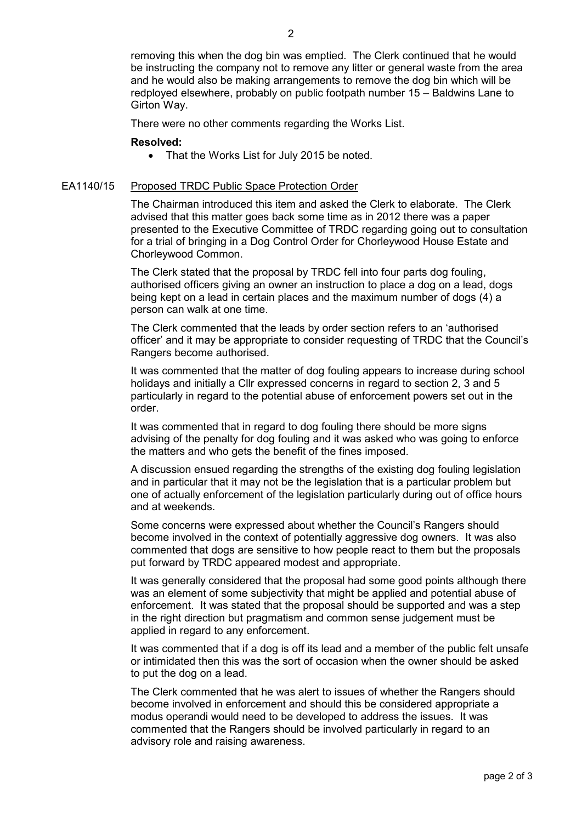removing this when the dog bin was emptied. The Clerk continued that he would be instructing the company not to remove any litter or general waste from the area and he would also be making arrangements to remove the dog bin which will be redployed elsewhere, probably on public footpath number 15 – Baldwins Lane to Girton Way.

There were no other comments regarding the Works List.

#### **Resolved:**

• That the Works List for July 2015 be noted.

#### EA1140/15 Proposed TRDC Public Space Protection Order

The Chairman introduced this item and asked the Clerk to elaborate. The Clerk advised that this matter goes back some time as in 2012 there was a paper presented to the Executive Committee of TRDC regarding going out to consultation for a trial of bringing in a Dog Control Order for Chorleywood House Estate and Chorleywood Common.

The Clerk stated that the proposal by TRDC fell into four parts dog fouling, authorised officers giving an owner an instruction to place a dog on a lead, dogs being kept on a lead in certain places and the maximum number of dogs (4) a person can walk at one time.

The Clerk commented that the leads by order section refers to an 'authorised officer' and it may be appropriate to consider requesting of TRDC that the Council's Rangers become authorised.

It was commented that the matter of dog fouling appears to increase during school holidays and initially a Cllr expressed concerns in regard to section 2, 3 and 5 particularly in regard to the potential abuse of enforcement powers set out in the order.

It was commented that in regard to dog fouling there should be more signs advising of the penalty for dog fouling and it was asked who was going to enforce the matters and who gets the benefit of the fines imposed.

A discussion ensued regarding the strengths of the existing dog fouling legislation and in particular that it may not be the legislation that is a particular problem but one of actually enforcement of the legislation particularly during out of office hours and at weekends.

Some concerns were expressed about whether the Council's Rangers should become involved in the context of potentially aggressive dog owners. It was also commented that dogs are sensitive to how people react to them but the proposals put forward by TRDC appeared modest and appropriate.

It was generally considered that the proposal had some good points although there was an element of some subjectivity that might be applied and potential abuse of enforcement. It was stated that the proposal should be supported and was a step in the right direction but pragmatism and common sense judgement must be applied in regard to any enforcement.

It was commented that if a dog is off its lead and a member of the public felt unsafe or intimidated then this was the sort of occasion when the owner should be asked to put the dog on a lead.

The Clerk commented that he was alert to issues of whether the Rangers should become involved in enforcement and should this be considered appropriate a modus operandi would need to be developed to address the issues. It was commented that the Rangers should be involved particularly in regard to an advisory role and raising awareness.